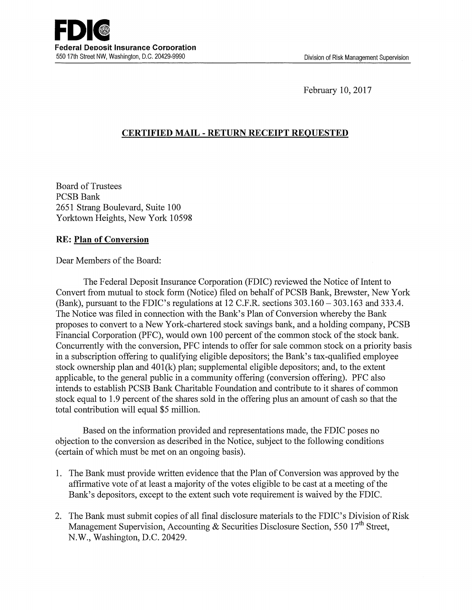February 10, 2017

## **CERTIFIED MAIL** - **RETURN RECEIPT REQUESTED**

Board of Trustees PCSB Bank 2651 Strang Boulevard, Suite 100 Yorktown Heights, New York 10598

## **RE: Plan of Conversion**

Dear Members of the Board:

The Federal Deposit Insurance Corporation (FDIC) reviewed the Notice of Intent to Convert from mutual to stock form (Notice) filed on behalf of PCSB Bank, Brewster, New York (Bank), pursuant to the FDIC's regulations at 12 C.F.R. sections 303.160- 303.163 and 333.4. The Notice was filed in connection with the Bank's Plan of Conversion whereby the Bank proposes to convert to a New York-chartered stock savings bank, and a holding company, PCSB Financial Corporation (PFC), would own 100 percent of the common stock of the stock bank. Concurrently with the conversion, PFC intends to offer for sale common stock on a priority basis in a subscription offering to qualifying eligible depositors; the Bank's tax-qualified employee stock ownership plan and 40l(k) plan; supplemental eligible depositors; and, to the extent applicable, to the general public in a community offering ( conversion offering). PFC also intends to establish PCSB Bank Charitable Foundation and contribute to it shares of common stock equal to 1.9 percent of the shares sold in the offering plus an amount of cash so that the total contribution will equal \$5 million.

Based on the information provided and representations made, the FDIC poses no objection to the conversion as described in the Notice, subject to the following conditions (certain of which must be met on an ongoing basis).

- 1. The Bank must provide written evidence that the Plan of Conversion was approved by the affirmative vote of at least a majority of the votes eligible to be cast at a meeting of the Bank's depositors, except to the extent such vote requirement is waived by the FDIC.
- 2. The Bank must submit copies of all final disclosure materials to the FDIC's Division of Risk Management Supervision, Accounting & Securities Disclosure Section, 550 17<sup>th</sup> Street, N.W., Washington, D.C. 20429.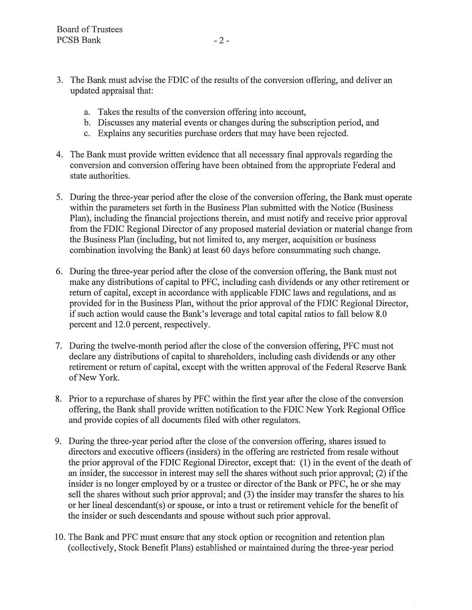- 3. The Bank must advise the FDIC of the results of the conversion offering, and deliver an updated appraisal that:
	- a. Takes the results of the conversion offering into account,
	- b. Discusses any material events or changes during the subscription period, and
	- c. Explains any securities purchase orders that may have been rejected.
- 4. The Bank must provide written evidence that all necessary fmal approvals regarding the conversion and conversion offering have been obtained from the appropriate Federal and state authorities.
- 5. During the three-year period after the close of the conversion offering, the Bank must operate within the parameters set forth in the Business Plan submitted with the Notice (Business Plan), including the financial projections therein, and must notify and receive prior approval from the FDIC Regional Director of any proposed material deviation or material change from the Business Plan (including, but not limited to, any merger, acquisition or business combination involving the Bank) at least 60 days before consummating such change.
- 6. During the three-year period after the close of the conversion offering, the Bank must not make any distributions of capital to PFC, including cash dividends or any other retirement or return of capital, except in accordance with applicable FDIC laws and regulations, and as provided for in the Business Plan, without the prior approval of the FDIC Regional Director, if such action would cause the Bank's leverage and total capital ratios to fall below 8.0 percent and 12.0 percent, respectively.
- 7. During the twelve-month period after the close of the conversion offering, PFC must not declare any distributions of capital to shareholders, including cash dividends or any other retirement or return of capital, except with the written approval of the Federal Reserve Bank of New York.
- 8. Prior to a repurchase of shares by PFC within the first year after the close of the conversion offering, the Bank shall provide written notification to the FDIC New York Regional Office and provide copies of all documents filed with other regulators.
- 9. During the three-year period after the close of the conversion offering, shares issued to directors and executive officers (insiders) in the offering are restricted from resale without the prior approval of the FDIC Regional Director, except that: (1) in the event of the death of an insider, the successor in interest may sell the shares without such prior approval; (2) if the insider is no longer employed by or a trustee or director of the Bank or PFC, he or she may sell the shares without such prior approval; and (3) the insider may transfer the shares to his or her lineal descendant(s) or spouse, or into a trust or retirement vehicle for the benefit of the insider or such descendants and spouse without such prior approval.
- 10. The Bank and PFC must ensure that any stock option or recognition and retention plan (collectively, Stock Benefit Plans) established or maintained during the three-year period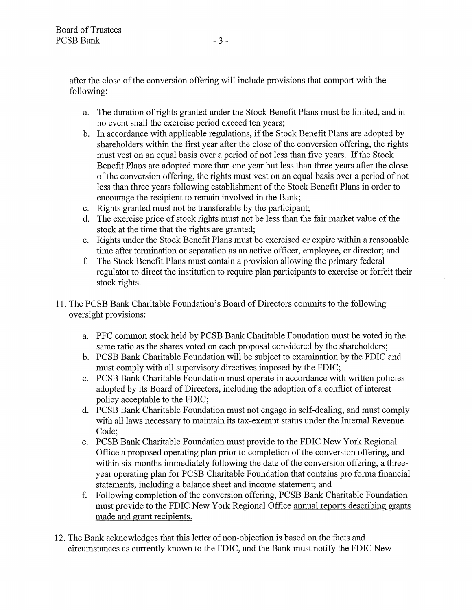after the close of the conversion offering will include provisions that comport with the following:

- a. The duration of rights granted under the Stock Benefit Plans must be limited, and in no event shall the exercise period exceed ten years;
- b. In accordance with applicable regulations, if the Stock Benefit Plans are adopted by shareholders within the first year after the close of the conversion offering, the rights must vest on an equal basis over a period of not less than five years. If the Stock Benefit Plans are adopted more than one year but less than three years after the close of the conversion offering, the rights must vest on an equal basis over a period of not less than three years following establishment of the Stock Benefit Plans in order to encourage the recipient to remain involved in the Bank;
- c. Rights granted must not be transferable by the participant;
- d. The exercise price of stock rights must not be less than the fair market value of the stock at the time that the rights are granted;
- e. Rights under the Stock Benefit Plans must be exercised or expire within a reasonable time after termination or separation as an active officer, employee, or director; and
- f. The Stock Benefit Plans must contain a provision allowing the primary federal regulator to direct the institution to require plan participants to exercise or forfeit their stock rights.
- 11. The PCSB Bank Charitable Foundation's Board of Directors commits to the following oversight provisions:
	- a. PFC common stock held by PCSB Bank Charitable Foundation must be voted in the same ratio as the shares voted on each proposal considered by the shareholders;
	- b. PCSB Bank Charitable Foundation will be subject to examination by the FDIC and must comply with all supervisory directives imposed by the FDIC;
	- c. PCSB Bank Charitable Foundation must operate in accordance with written policies adopted by its Board of Directors, including the adoption of a conflict of interest policy acceptable to the FDIC;
	- d. PCSB Bank Charitable Foundation must not engage in self-dealing, and must comply with all laws necessary to maintain its tax-exempt status under the Internal Revenue Code;
	- e. PCSB Bank Charitable Foundation must provide to the FDIC New York Regional Office a proposed operating plan prior to completion of the conversion offering, and within six months immediately following the date of the conversion offering, a threeyear operating plan for PCSB Charitable Foundation that contains proforma financial statements, including a balance sheet and income statement; and
	- f. Following completion of the conversion offering, PCSB Bank Charitable Foundation must provide to the FDIC New York Regional Office annual reports describing grants made and grant recipients.
- 12. The Bank acknowledges that this letter of non-objection is based on the facts and circumstances as currently known to the FDIC, and the Bank must notify the FDIC New